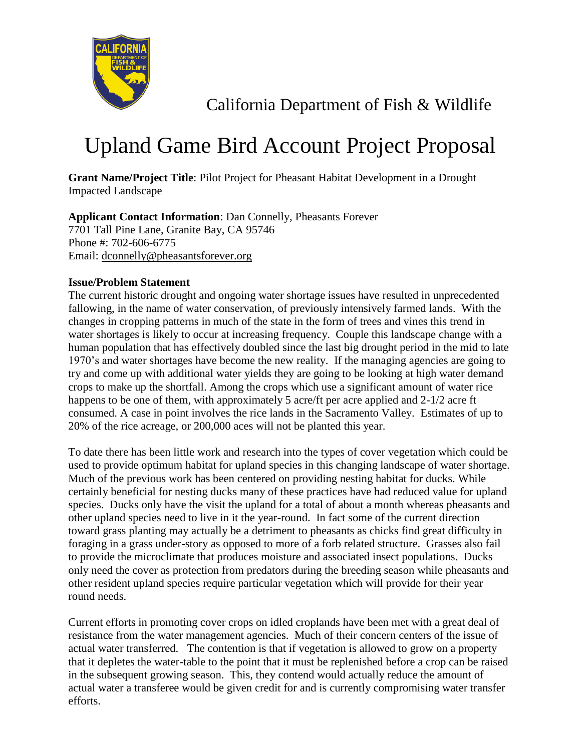

California Department of Fish & Wildlife

## Upland Game Bird Account Project Proposal

**Grant Name/Project Title**: Pilot Project for Pheasant Habitat Development in a Drought Impacted Landscape

**Applicant Contact Information**: Dan Connelly, Pheasants Forever 7701 Tall Pine Lane, Granite Bay, CA 95746 Phone #: 702-606-6775 Email: dconnelly@pheasantsforever.org

## **Issue/Problem Statement**

The current historic drought and ongoing water shortage issues have resulted in unprecedented fallowing, in the name of water conservation, of previously intensively farmed lands. With the changes in cropping patterns in much of the state in the form of trees and vines this trend in water shortages is likely to occur at increasing frequency. Couple this landscape change with a human population that has effectively doubled since the last big drought period in the mid to late 1970's and water shortages have become the new reality. If the managing agencies are going to try and come up with additional water yields they are going to be looking at high water demand crops to make up the shortfall. Among the crops which use a significant amount of water rice happens to be one of them, with approximately 5 acre/ft per acre applied and 2-1/2 acre ft consumed. A case in point involves the rice lands in the Sacramento Valley. Estimates of up to 20% of the rice acreage, or 200,000 aces will not be planted this year.

To date there has been little work and research into the types of cover vegetation which could be used to provide optimum habitat for upland species in this changing landscape of water shortage. Much of the previous work has been centered on providing nesting habitat for ducks. While certainly beneficial for nesting ducks many of these practices have had reduced value for upland species. Ducks only have the visit the upland for a total of about a month whereas pheasants and other upland species need to live in it the year-round. In fact some of the current direction toward grass planting may actually be a detriment to pheasants as chicks find great difficulty in foraging in a grass under-story as opposed to more of a forb related structure. Grasses also fail to provide the microclimate that produces moisture and associated insect populations. Ducks only need the cover as protection from predators during the breeding season while pheasants and other resident upland species require particular vegetation which will provide for their year round needs.

Current efforts in promoting cover crops on idled croplands have been met with a great deal of resistance from the water management agencies. Much of their concern centers of the issue of actual water transferred. The contention is that if vegetation is allowed to grow on a property that it depletes the water-table to the point that it must be replenished before a crop can be raised in the subsequent growing season. This, they contend would actually reduce the amount of actual water a transferee would be given credit for and is currently compromising water transfer efforts.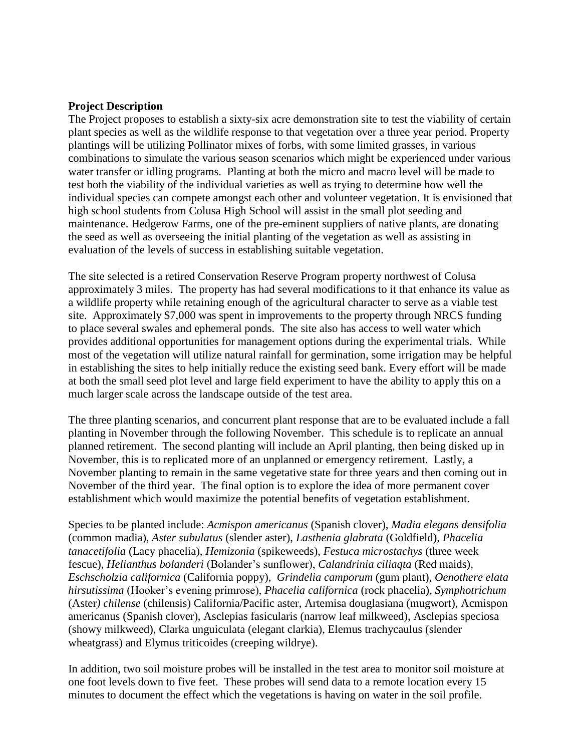## **Project Description**

The Project proposes to establish a sixty-six acre demonstration site to test the viability of certain plant species as well as the wildlife response to that vegetation over a three year period. Property plantings will be utilizing Pollinator mixes of forbs, with some limited grasses, in various combinations to simulate the various season scenarios which might be experienced under various water transfer or idling programs. Planting at both the micro and macro level will be made to test both the viability of the individual varieties as well as trying to determine how well the individual species can compete amongst each other and volunteer vegetation. It is envisioned that high school students from Colusa High School will assist in the small plot seeding and maintenance. Hedgerow Farms, one of the pre-eminent suppliers of native plants, are donating the seed as well as overseeing the initial planting of the vegetation as well as assisting in evaluation of the levels of success in establishing suitable vegetation.

The site selected is a retired Conservation Reserve Program property northwest of Colusa approximately 3 miles. The property has had several modifications to it that enhance its value as a wildlife property while retaining enough of the agricultural character to serve as a viable test site. Approximately \$7,000 was spent in improvements to the property through NRCS funding to place several swales and ephemeral ponds. The site also has access to well water which provides additional opportunities for management options during the experimental trials. While most of the vegetation will utilize natural rainfall for germination, some irrigation may be helpful in establishing the sites to help initially reduce the existing seed bank. Every effort will be made at both the small seed plot level and large field experiment to have the ability to apply this on a much larger scale across the landscape outside of the test area.

The three planting scenarios, and concurrent plant response that are to be evaluated include a fall planting in November through the following November. This schedule is to replicate an annual planned retirement. The second planting will include an April planting, then being disked up in November, this is to replicated more of an unplanned or emergency retirement. Lastly, a November planting to remain in the same vegetative state for three years and then coming out in November of the third year. The final option is to explore the idea of more permanent cover establishment which would maximize the potential benefits of vegetation establishment.

Species to be planted include: *Acmispon americanus* (Spanish clover), *Madia elegans densifolia* (common madia), *Aster subulatus* (slender aster), *Lasthenia glabrata* (Goldfield), *Phacelia tanacetifolia* (Lacy phacelia), *Hemizonia* (spikeweeds), *Festuca microstachys* (three week fescue), *Helianthus bolanderi* (Bolander's sunflower), *Calandrinia ciliaqta* (Red maids), *Eschscholzia californica* (California poppy), *Grindelia camporum* (gum plant), *Oenothere elata hirsutissima* (Hooker's evening primrose), *Phacelia californica* (rock phacelia), *Symphotrichum* (Aster*) chilense* (chilensis) California/Pacific aster, Artemisa douglasiana (mugwort), Acmispon americanus (Spanish clover), Asclepias fasicularis (narrow leaf milkweed), Asclepias speciosa (showy milkweed), Clarka unguiculata (elegant clarkia), Elemus trachycaulus (slender wheatgrass) and Elymus triticoides (creeping wildrye).

In addition, two soil moisture probes will be installed in the test area to monitor soil moisture at one foot levels down to five feet. These probes will send data to a remote location every 15 minutes to document the effect which the vegetations is having on water in the soil profile.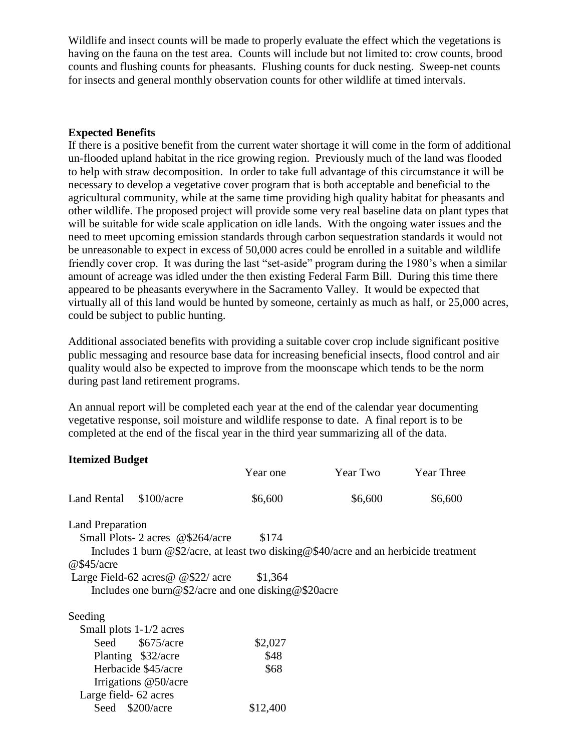Wildlife and insect counts will be made to properly evaluate the effect which the vegetations is having on the fauna on the test area. Counts will include but not limited to: crow counts, brood counts and flushing counts for pheasants. Flushing counts for duck nesting. Sweep-net counts for insects and general monthly observation counts for other wildlife at timed intervals.

## **Expected Benefits**

If there is a positive benefit from the current water shortage it will come in the form of additional un-flooded upland habitat in the rice growing region. Previously much of the land was flooded to help with straw decomposition. In order to take full advantage of this circumstance it will be necessary to develop a vegetative cover program that is both acceptable and beneficial to the agricultural community, while at the same time providing high quality habitat for pheasants and other wildlife. The proposed project will provide some very real baseline data on plant types that will be suitable for wide scale application on idle lands. With the ongoing water issues and the need to meet upcoming emission standards through carbon sequestration standards it would not be unreasonable to expect in excess of 50,000 acres could be enrolled in a suitable and wildlife friendly cover crop. It was during the last "set-aside" program during the 1980's when a similar amount of acreage was idled under the then existing Federal Farm Bill. During this time there appeared to be pheasants everywhere in the Sacramento Valley. It would be expected that virtually all of this land would be hunted by someone, certainly as much as half, or 25,000 acres, could be subject to public hunting.

Additional associated benefits with providing a suitable cover crop include significant positive public messaging and resource base data for increasing beneficial insects, flood control and air quality would also be expected to improve from the moonscape which tends to be the norm during past land retirement programs.

An annual report will be completed each year at the end of the calendar year documenting vegetative response, soil moisture and wildlife response to date. A final report is to be completed at the end of the fiscal year in the third year summarizing all of the data.

| <b>Itemized Budget</b>    |                                                                                       |          |          |                   |
|---------------------------|---------------------------------------------------------------------------------------|----------|----------|-------------------|
|                           |                                                                                       | Year one | Year Two | <b>Year Three</b> |
| Land Rental \$100/acre    |                                                                                       | \$6,600  | \$6,600  | \$6,600           |
| <b>Land Preparation</b>   |                                                                                       |          |          |                   |
|                           | Small Plots-2 acres @\$264/acre                                                       | \$174    |          |                   |
|                           | Includes 1 burn @\$2/acre, at least two disking @\$40/acre and an herbicide treatment |          |          |                   |
| @\$45/acre                |                                                                                       |          |          |                   |
|                           | Large Field-62 acres $\omega$ $\frac{\omega \cdot 22}{\omega \cdot 22}$ acre \$1,364  |          |          |                   |
|                           | Includes one burn@\$2/acre and one disking@\$20acre                                   |          |          |                   |
| Seeding                   |                                                                                       |          |          |                   |
| Small plots $1-1/2$ acres |                                                                                       |          |          |                   |
| Seed                      | \$675/acre                                                                            | \$2,027  |          |                   |
|                           | Planting \$32/acre                                                                    | \$48     |          |                   |
|                           | Herbacide \$45/acre                                                                   | \$68     |          |                   |
|                           | Irrigations @50/acre                                                                  |          |          |                   |
| Large field- 62 acres     |                                                                                       |          |          |                   |

Seed \$200/acre \$12,400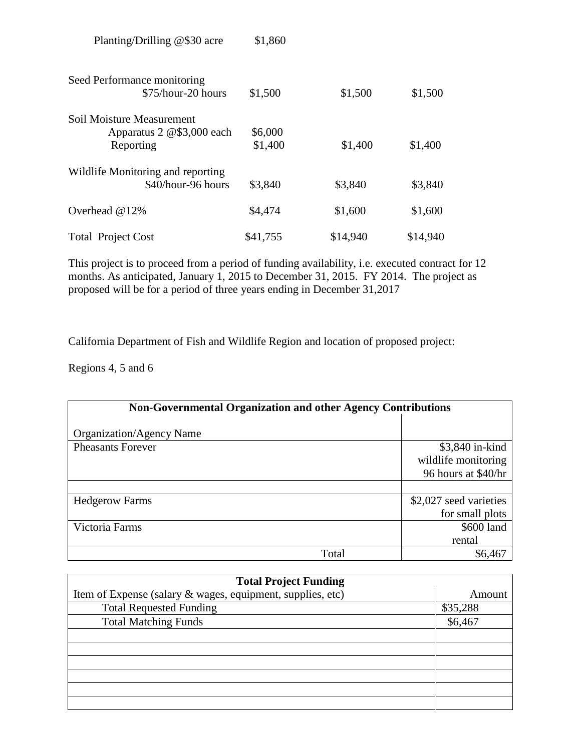| Seed Performance monitoring<br>\$75/hour-20 hours | \$1,500  | \$1,500  | \$1,500  |
|---------------------------------------------------|----------|----------|----------|
| Soil Moisture Measurement                         |          |          |          |
| Apparatus 2 @\$3,000 each                         | \$6,000  |          |          |
| Reporting                                         | \$1,400  | \$1,400  | \$1,400  |
| Wildlife Monitoring and reporting                 |          |          |          |
| \$40/hour-96 hours                                | \$3,840  | \$3,840  | \$3,840  |
| Overhead $@12\%$                                  | \$4,474  | \$1,600  | \$1,600  |
| <b>Total Project Cost</b>                         | \$41,755 | \$14,940 | \$14,940 |

Planting/Drilling @\$30 acre \$1,860

This project is to proceed from a period of funding availability, i.e. executed contract for 12 months. As anticipated, January 1, 2015 to December 31, 2015. FY 2014. The project as proposed will be for a period of three years ending in December 31,2017

California Department of Fish and Wildlife Region and location of proposed project:

Regions 4, 5 and 6

| <b>Non-Governmental Organization and other Agency Contributions</b> |                        |  |  |  |
|---------------------------------------------------------------------|------------------------|--|--|--|
| Organization/Agency Name                                            |                        |  |  |  |
| <b>Pheasants Forever</b>                                            | \$3,840 in-kind        |  |  |  |
|                                                                     | wildlife monitoring    |  |  |  |
|                                                                     | 96 hours at \$40/hr    |  |  |  |
|                                                                     |                        |  |  |  |
| <b>Hedgerow Farms</b>                                               | \$2,027 seed varieties |  |  |  |
|                                                                     | for small plots        |  |  |  |
| Victoria Farms                                                      | \$600 land             |  |  |  |
|                                                                     | rental                 |  |  |  |
| Total                                                               | \$6,467                |  |  |  |

| <b>Total Project Funding</b>                               |          |  |  |  |
|------------------------------------------------------------|----------|--|--|--|
| Item of Expense (salary & wages, equipment, supplies, etc) | Amount   |  |  |  |
| <b>Total Requested Funding</b>                             | \$35,288 |  |  |  |
| <b>Total Matching Funds</b>                                | \$6,467  |  |  |  |
|                                                            |          |  |  |  |
|                                                            |          |  |  |  |
|                                                            |          |  |  |  |
|                                                            |          |  |  |  |
|                                                            |          |  |  |  |
|                                                            |          |  |  |  |